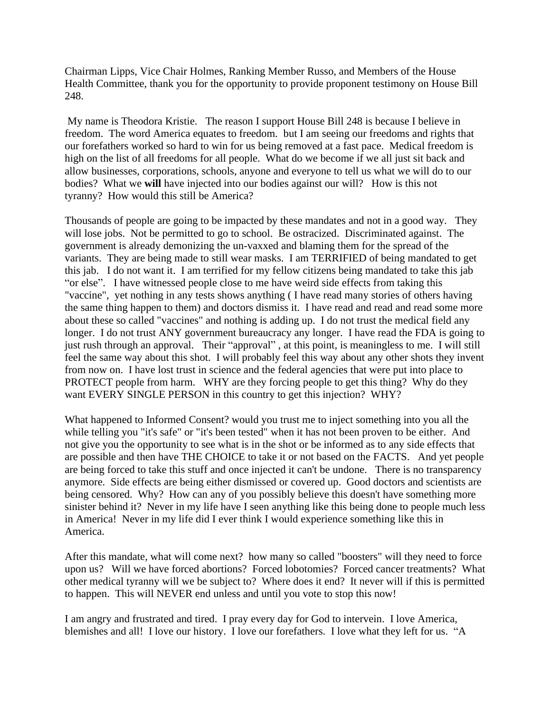Chairman Lipps, Vice Chair Holmes, Ranking Member Russo, and Members of the House Health Committee, thank you for the opportunity to provide proponent testimony on House Bill 248.

My name is Theodora Kristie. The reason I support House Bill 248 is because I believe in freedom. The word America equates to freedom. but I am seeing our freedoms and rights that our forefathers worked so hard to win for us being removed at a fast pace. Medical freedom is high on the list of all freedoms for all people. What do we become if we all just sit back and allow businesses, corporations, schools, anyone and everyone to tell us what we will do to our bodies? What we **will** have injected into our bodies against our will? How is this not tyranny? How would this still be America?

Thousands of people are going to be impacted by these mandates and not in a good way. They will lose jobs. Not be permitted to go to school. Be ostracized. Discriminated against. The government is already demonizing the un-vaxxed and blaming them for the spread of the variants. They are being made to still wear masks. I am TERRIFIED of being mandated to get this jab. I do not want it. I am terrified for my fellow citizens being mandated to take this jab "or else". I have witnessed people close to me have weird side effects from taking this "vaccine", yet nothing in any tests shows anything ( I have read many stories of others having the same thing happen to them) and doctors dismiss it. I have read and read and read some more about these so called "vaccines" and nothing is adding up. I do not trust the medical field any longer. I do not trust ANY government bureaucracy any longer. I have read the FDA is going to just rush through an approval. Their "approval", at this point, is meaningless to me. I will still feel the same way about this shot. I will probably feel this way about any other shots they invent from now on. I have lost trust in science and the federal agencies that were put into place to PROTECT people from harm. WHY are they forcing people to get this thing? Why do they want EVERY SINGLE PERSON in this country to get this injection? WHY?

What happened to Informed Consent? would you trust me to inject something into you all the while telling you "it's safe" or "it's been tested" when it has not been proven to be either. And not give you the opportunity to see what is in the shot or be informed as to any side effects that are possible and then have THE CHOICE to take it or not based on the FACTS. And yet people are being forced to take this stuff and once injected it can't be undone. There is no transparency anymore. Side effects are being either dismissed or covered up. Good doctors and scientists are being censored. Why? How can any of you possibly believe this doesn't have something more sinister behind it? Never in my life have I seen anything like this being done to people much less in America! Never in my life did I ever think I would experience something like this in America.

After this mandate, what will come next? how many so called "boosters" will they need to force upon us? Will we have forced abortions? Forced lobotomies? Forced cancer treatments? What other medical tyranny will we be subject to? Where does it end? It never will if this is permitted to happen. This will NEVER end unless and until you vote to stop this now!

I am angry and frustrated and tired. I pray every day for God to intervein. I love America, blemishes and all! I love our history. I love our forefathers. I love what they left for us. "A